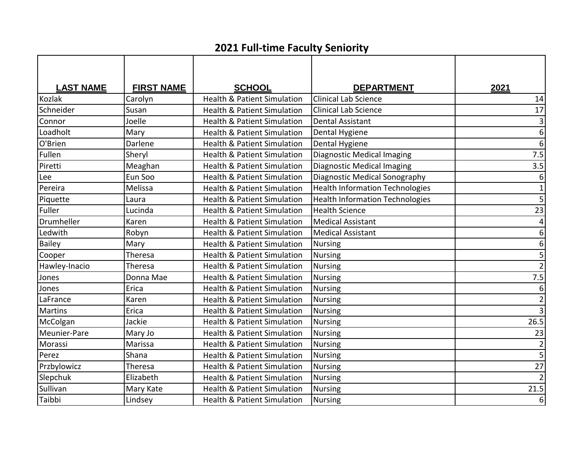## **2021 Full-time Faculty Seniority**

| <b>LAST NAME</b> | <b>FIRST NAME</b> | <b>SCHOOL</b>                          | <b>DEPARTMENT</b>                      | 2021             |
|------------------|-------------------|----------------------------------------|----------------------------------------|------------------|
| <b>Kozlak</b>    | Carolyn           | <b>Health &amp; Patient Simulation</b> | <b>Clinical Lab Science</b>            | 14               |
| Schneider        | Susan             | <b>Health &amp; Patient Simulation</b> | <b>Clinical Lab Science</b>            | 17               |
| Connor           | Joelle            | <b>Health &amp; Patient Simulation</b> | <b>Dental Assistant</b>                | 3                |
| Loadholt         | Mary              | <b>Health &amp; Patient Simulation</b> | Dental Hygiene                         | $\overline{6}$   |
| O'Brien          | Darlene           | <b>Health &amp; Patient Simulation</b> | Dental Hygiene                         | $\overline{6}$   |
| Fullen           | Sheryl            | <b>Health &amp; Patient Simulation</b> | <b>Diagnostic Medical Imaging</b>      | 7.5              |
| Piretti          | Meaghan           | <b>Health &amp; Patient Simulation</b> | <b>Diagnostic Medical Imaging</b>      | 3.5              |
| Lee              | Eun Soo           | <b>Health &amp; Patient Simulation</b> | Diagnostic Medical Sonography          | $\boldsymbol{6}$ |
| Pereira          | Melissa           | <b>Health &amp; Patient Simulation</b> | <b>Health Information Technologies</b> | $\mathbf 1$      |
| Piquette         | Laura             | <b>Health &amp; Patient Simulation</b> | <b>Health Information Technologies</b> | $\overline{5}$   |
| Fuller           | Lucinda           | <b>Health &amp; Patient Simulation</b> | <b>Health Science</b>                  | 23               |
| Drumheller       | Karen             | <b>Health &amp; Patient Simulation</b> | <b>Medical Assistant</b>               | 4                |
| Ledwith          | Robyn             | <b>Health &amp; Patient Simulation</b> | <b>Medical Assistant</b>               | $\boldsymbol{6}$ |
| Bailey           | Mary              | <b>Health &amp; Patient Simulation</b> | <b>Nursing</b>                         | $\boldsymbol{6}$ |
| Cooper           | Theresa           | <b>Health &amp; Patient Simulation</b> | <b>Nursing</b>                         | 5                |
| Hawley-Inacio    | Theresa           | <b>Health &amp; Patient Simulation</b> | <b>Nursing</b>                         | $\overline{2}$   |
| Jones            | Donna Mae         | <b>Health &amp; Patient Simulation</b> | <b>Nursing</b>                         | 7.5              |
| Jones            | Erica             | <b>Health &amp; Patient Simulation</b> | <b>Nursing</b>                         | $\boldsymbol{6}$ |
| LaFrance         | Karen             | <b>Health &amp; Patient Simulation</b> | <b>Nursing</b>                         | $\overline{2}$   |
| <b>Martins</b>   | Erica             | <b>Health &amp; Patient Simulation</b> | <b>Nursing</b>                         | $\overline{3}$   |
| McColgan         | Jackie            | <b>Health &amp; Patient Simulation</b> | Nursing                                | 26.5             |
| Meunier-Pare     | Mary Jo           | <b>Health &amp; Patient Simulation</b> | <b>Nursing</b>                         | 23               |
| Morassi          | Marissa           | <b>Health &amp; Patient Simulation</b> | Nursing                                | $\overline{2}$   |
| Perez            | Shana             | <b>Health &amp; Patient Simulation</b> | <b>Nursing</b>                         | $\overline{5}$   |
| Przbylowicz      | Theresa           | <b>Health &amp; Patient Simulation</b> | <b>Nursing</b>                         | $\overline{27}$  |
| Slepchuk         | Elizabeth         | <b>Health &amp; Patient Simulation</b> | Nursing                                | $\overline{2}$   |
| Sullivan         | Mary Kate         | <b>Health &amp; Patient Simulation</b> | <b>Nursing</b>                         | 21.5             |
| Taibbi           | Lindsey           | <b>Health &amp; Patient Simulation</b> | Nursing                                | 6                |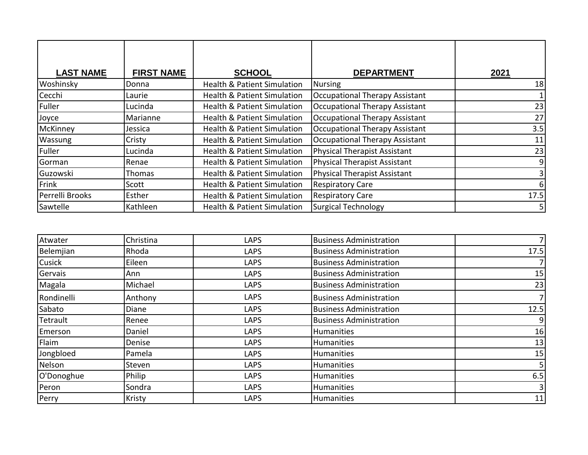| <b>LAST NAME</b> | <b>FIRST NAME</b> | <b>SCHOOL</b>                          | <b>DEPARTMENT</b>                     | 2021 |
|------------------|-------------------|----------------------------------------|---------------------------------------|------|
| Woshinsky        | Donna             | <b>Health &amp; Patient Simulation</b> | Nursing                               | 18   |
| Cecchi           | Laurie            | <b>Health &amp; Patient Simulation</b> | Occupational Therapy Assistant        |      |
| Fuller           | Lucinda           | <b>Health &amp; Patient Simulation</b> | <b>Occupational Therapy Assistant</b> | 23   |
| Joyce            | Marianne          | <b>Health &amp; Patient Simulation</b> | Occupational Therapy Assistant        | 27   |
| McKinney         | Jessica           | <b>Health &amp; Patient Simulation</b> | Occupational Therapy Assistant        | 3.5  |
| Wassung          | Cristy            | <b>Health &amp; Patient Simulation</b> | <b>Occupational Therapy Assistant</b> | 11   |
| Fuller           | Lucinda           | <b>Health &amp; Patient Simulation</b> | <b>Physical Therapist Assistant</b>   | 23   |
| Gorman           | Renae             | <b>Health &amp; Patient Simulation</b> | <b>Physical Therapist Assistant</b>   | 9    |
| Guzowski         | Thomas            | <b>Health &amp; Patient Simulation</b> | <b>Physical Therapist Assistant</b>   |      |
| Frink            | Scott             | <b>Health &amp; Patient Simulation</b> | <b>Respiratory Care</b>               | 6    |
| Perrelli Brooks  | Esther            | <b>Health &amp; Patient Simulation</b> | <b>Respiratory Care</b>               | 17.5 |
| Sawtelle         | Kathleen          | <b>Health &amp; Patient Simulation</b> | <b>Surgical Technology</b>            | 5    |

| Atwater    | Christina | <b>LAPS</b> | <b>Business Administration</b> |      |
|------------|-----------|-------------|--------------------------------|------|
| Belemjian  | Rhoda     | <b>LAPS</b> | <b>Business Administration</b> | 17.5 |
| Cusick     | Eileen    | <b>LAPS</b> | <b>Business Administration</b> |      |
| Gervais    | Ann       | <b>LAPS</b> | <b>Business Administration</b> | 15   |
| Magala     | Michael   | <b>LAPS</b> | <b>Business Administration</b> | 23   |
| Rondinelli | Anthony   | <b>LAPS</b> | <b>Business Administration</b> |      |
| Sabato     | Diane     | <b>LAPS</b> | <b>Business Administration</b> | 12.5 |
| Tetrault   | Renee     | <b>LAPS</b> | <b>Business Administration</b> | 9    |
| Emerson    | Daniel    | <b>LAPS</b> | <b>Humanities</b>              | 16   |
| Flaim      | Denise    | <b>LAPS</b> | Humanities                     | 13   |
| Jongbloed  | Pamela    | <b>LAPS</b> | Humanities                     | 15   |
| Nelson     | Steven    | <b>LAPS</b> | <b>Humanities</b>              |      |
| O'Donoghue | Philip    | <b>LAPS</b> | <b>Humanities</b>              | 6.5  |
| Peron      | Sondra    | <b>LAPS</b> | Humanities                     |      |
| Perry      | Kristy    | <b>LAPS</b> | <b>Humanities</b>              | 11   |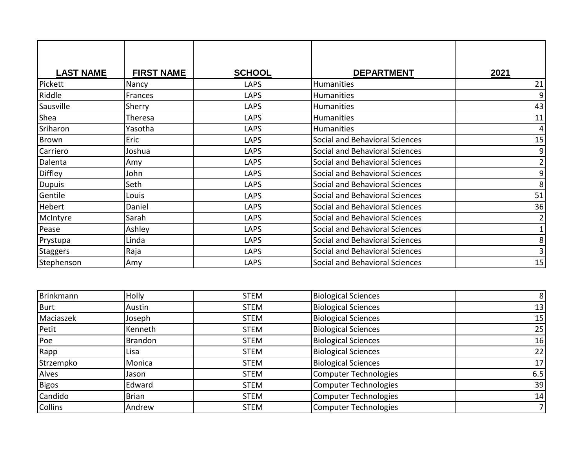| <b>LAST NAME</b> | <b>FIRST NAME</b> | <b>SCHOOL</b> | <b>DEPARTMENT</b>              | 2021           |
|------------------|-------------------|---------------|--------------------------------|----------------|
| Pickett          | Nancy             | <b>LAPS</b>   | Humanities                     | 21             |
| Riddle           | Frances           | <b>LAPS</b>   | Humanities                     | 9              |
| Sausville        | Sherry            | <b>LAPS</b>   | Humanities                     | 43             |
| Shea             | Theresa           | <b>LAPS</b>   | Humanities                     | 11             |
| Sriharon         | Yasotha           | LAPS          | Humanities                     | 4              |
| <b>Brown</b>     | Eric              | <b>LAPS</b>   | Social and Behavioral Sciences | 15             |
| Carriero         | Joshua            | <b>LAPS</b>   | Social and Behavioral Sciences | 9              |
| Dalenta          | Amy               | <b>LAPS</b>   | Social and Behavioral Sciences | $\overline{2}$ |
| <b>Diffley</b>   | John              | <b>LAPS</b>   | Social and Behavioral Sciences | 9              |
| <b>Dupuis</b>    | Seth              | <b>LAPS</b>   | Social and Behavioral Sciences | 8              |
| Gentile          | Louis             | <b>LAPS</b>   | Social and Behavioral Sciences | 51             |
| Hebert           | Daniel            | <b>LAPS</b>   | Social and Behavioral Sciences | 36             |
| McIntyre         | Sarah             | <b>LAPS</b>   | Social and Behavioral Sciences | 2              |
| Pease            | Ashley            | <b>LAPS</b>   | Social and Behavioral Sciences | $\mathbf 1$    |
| Prystupa         | Linda             | <b>LAPS</b>   | Social and Behavioral Sciences | 8              |
| Staggers         | Raja              | <b>LAPS</b>   | Social and Behavioral Sciences | 3              |
| Stephenson       | Amy               | LAPS          | Social and Behavioral Sciences | 15             |

| Brinkmann      | <b>Holly</b>   | <b>STEM</b> | <b>Biological Sciences</b>   | 8               |
|----------------|----------------|-------------|------------------------------|-----------------|
| <b>Burt</b>    | Austin         | <b>STEM</b> | <b>Biological Sciences</b>   | 13              |
| Maciaszek      | Joseph         | <b>STEM</b> | <b>Biological Sciences</b>   | 15              |
| Petit          | Kenneth        | <b>STEM</b> | <b>Biological Sciences</b>   | 25              |
| Poe            | <b>Brandon</b> | <b>STEM</b> | <b>Biological Sciences</b>   | 16              |
| Rapp           | Lisa           | <b>STEM</b> | <b>Biological Sciences</b>   | 22              |
| Strzempko      | Monica         | <b>STEM</b> | <b>Biological Sciences</b>   | 17 <sup>1</sup> |
| Alves          | Jason          | <b>STEM</b> | Computer Technologies        | 6.5             |
| Bigos          | Edward         | <b>STEM</b> | Computer Technologies        | 39              |
| Candido        | <b>Brian</b>   | <b>STEM</b> | Computer Technologies        | 14              |
| <b>Collins</b> | Andrew         | <b>STEM</b> | <b>Computer Technologies</b> | 7 <sup>1</sup>  |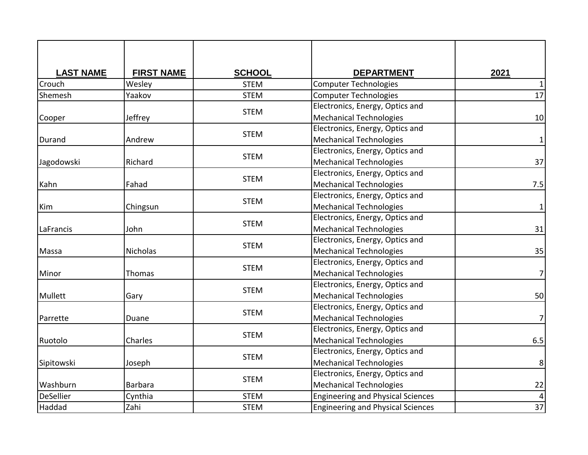| <b>LAST NAME</b> | <b>FIRST NAME</b> | <b>SCHOOL</b> | <b>DEPARTMENT</b>                        | 2021            |
|------------------|-------------------|---------------|------------------------------------------|-----------------|
| Crouch           | Wesley            | <b>STEM</b>   | <b>Computer Technologies</b>             | $\mathbf{1}$    |
| Shemesh          | Yaakov            | <b>STEM</b>   | <b>Computer Technologies</b>             | $\overline{17}$ |
|                  |                   |               | Electronics, Energy, Optics and          |                 |
| Cooper           | Jeffrey           | <b>STEM</b>   | <b>Mechanical Technologies</b>           | 10              |
|                  |                   |               | Electronics, Energy, Optics and          |                 |
| Durand           | Andrew            | <b>STEM</b>   | <b>Mechanical Technologies</b>           | $\mathbf{1}$    |
|                  |                   |               | Electronics, Energy, Optics and          |                 |
| Jagodowski       | Richard           | <b>STEM</b>   | <b>Mechanical Technologies</b>           | 37              |
|                  |                   | <b>STEM</b>   | Electronics, Energy, Optics and          |                 |
| Kahn             | Fahad             |               | <b>Mechanical Technologies</b>           | 7.5             |
|                  |                   |               | Electronics, Energy, Optics and          |                 |
| Kim              | Chingsun          | <b>STEM</b>   | <b>Mechanical Technologies</b>           | $\mathbf{1}$    |
|                  |                   | <b>STEM</b>   | Electronics, Energy, Optics and          |                 |
| LaFrancis        | John              |               | <b>Mechanical Technologies</b>           | 31              |
|                  |                   |               | Electronics, Energy, Optics and          |                 |
| Massa            | <b>Nicholas</b>   | <b>STEM</b>   | <b>Mechanical Technologies</b>           | 35              |
|                  |                   | <b>STEM</b>   | Electronics, Energy, Optics and          |                 |
| Minor            | Thomas            |               | <b>Mechanical Technologies</b>           | 7               |
|                  |                   | <b>STEM</b>   | Electronics, Energy, Optics and          |                 |
| Mullett          | Gary              |               | <b>Mechanical Technologies</b>           | 50              |
|                  |                   | <b>STEM</b>   | Electronics, Energy, Optics and          |                 |
| Parrette         | Duane             |               | <b>Mechanical Technologies</b>           | $\overline{7}$  |
|                  |                   | <b>STEM</b>   | Electronics, Energy, Optics and          |                 |
| Ruotolo          | Charles           |               | <b>Mechanical Technologies</b>           | 6.5             |
|                  |                   | <b>STEM</b>   | Electronics, Energy, Optics and          |                 |
| Sipitowski       | Joseph            |               | <b>Mechanical Technologies</b>           | 8               |
|                  |                   | <b>STEM</b>   | Electronics, Energy, Optics and          |                 |
| Washburn         | <b>Barbara</b>    |               | <b>Mechanical Technologies</b>           | 22              |
| <b>DeSellier</b> | Cynthia           | <b>STEM</b>   | <b>Engineering and Physical Sciences</b> |                 |
| Haddad           | Zahi              | <b>STEM</b>   | <b>Engineering and Physical Sciences</b> | $\overline{37}$ |